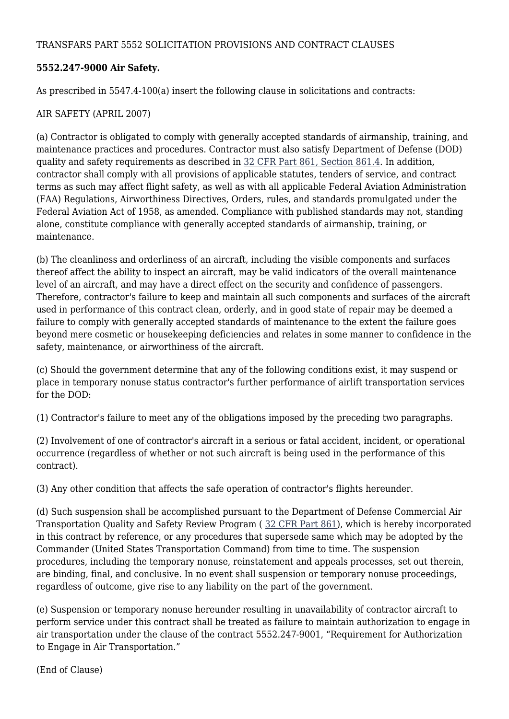#### TRANSFARS PART 5552 SOLICITATION PROVISIONS AND CONTRACT CLAUSES

### **5552.247-9000 Air Safety.**

As prescribed in 5547.4-100(a) insert the following clause in solicitations and contracts:

### AIR SAFETY (APRIL 2007)

(a) Contractor is obligated to comply with generally accepted standards of airmanship, training, and maintenance practices and procedures. Contractor must also satisfy Department of Defense (DOD) quality and safety requirements as described in [32 CFR Part 861, Section 861.4.](http://ecfr.gpoaccess.gov/cgi/t/text/text-idx?c=ecfr&sid=01ae6af18f38de49aaa1a58d0b4b96fb&rgn=div5&view=text&node=32:6.1.1.6.12&idno=32#32:6.1.1.6.12.0.1.4) In addition, contractor shall comply with all provisions of applicable statutes, tenders of service, and contract terms as such may affect flight safety, as well as with all applicable Federal Aviation Administration (FAA) Regulations, Airworthiness Directives, Orders, rules, and standards promulgated under the Federal Aviation Act of 1958, as amended. Compliance with published standards may not, standing alone, constitute compliance with generally accepted standards of airmanship, training, or maintenance.

(b) The cleanliness and orderliness of an aircraft, including the visible components and surfaces thereof affect the ability to inspect an aircraft, may be valid indicators of the overall maintenance level of an aircraft, and may have a direct effect on the security and confidence of passengers. Therefore, contractor's failure to keep and maintain all such components and surfaces of the aircraft used in performance of this contract clean, orderly, and in good state of repair may be deemed a failure to comply with generally accepted standards of maintenance to the extent the failure goes beyond mere cosmetic or housekeeping deficiencies and relates in some manner to confidence in the safety, maintenance, or airworthiness of the aircraft.

(c) Should the government determine that any of the following conditions exist, it may suspend or place in temporary nonuse status contractor's further performance of airlift transportation services for the DOD:

(1) Contractor's failure to meet any of the obligations imposed by the preceding two paragraphs.

(2) Involvement of one of contractor's aircraft in a serious or fatal accident, incident, or operational occurrence (regardless of whether or not such aircraft is being used in the performance of this contract).

(3) Any other condition that affects the safe operation of contractor's flights hereunder.

(d) Such suspension shall be accomplished pursuant to the Department of Defense Commercial Air Transportation Quality and Safety Review Program ( [32 CFR Part 861](http://ecfr.gpoaccess.gov/cgi/t/text/text-idx?c=ecfr&sid=f15e77188a7e2af15315c11a79749c78&rgn=div5&view=text&node=32:6.1.1.6.12&idno=32)), which is hereby incorporated in this contract by reference, or any procedures that supersede same which may be adopted by the Commander (United States Transportation Command) from time to time. The suspension procedures, including the temporary nonuse, reinstatement and appeals processes, set out therein, are binding, final, and conclusive. In no event shall suspension or temporary nonuse proceedings, regardless of outcome, give rise to any liability on the part of the government.

(e) Suspension or temporary nonuse hereunder resulting in unavailability of contractor aircraft to perform service under this contract shall be treated as failure to maintain authorization to engage in air transportation under the clause of the contract 5552.247-9001, "Requirement for Authorization to Engage in Air Transportation."

(End of Clause)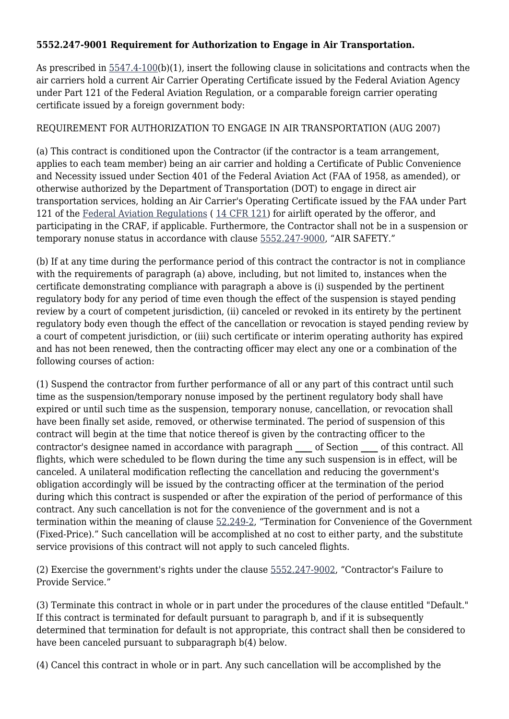### **5552.247-9001 Requirement for Authorization to Engage in Air Transportation.**

As prescribed in [5547.4-100\(](http://farsite.hill.af.mil/reghtml/regs/other/USTRANSCOM/5547.htm#P6_286)b)(1), insert the following clause in solicitations and contracts when the air carriers hold a current Air Carrier Operating Certificate issued by the Federal Aviation Agency under Part 121 of the Federal Aviation Regulation, or a comparable foreign carrier operating certificate issued by a foreign government body:

# REQUIREMENT FOR AUTHORIZATION TO ENGAGE IN AIR TRANSPORTATION (AUG 2007)

(a) This contract is conditioned upon the Contractor (if the contractor is a team arrangement, applies to each team member) being an air carrier and holding a Certificate of Public Convenience and Necessity issued under Section 401 of the Federal Aviation Act (FAA of 1958, as amended), or otherwise authorized by the Department of Transportation (DOT) to engage in direct air transportation services, holding an Air Carrier's Operating Certificate issued by the FAA under Part 121 of the [Federal Aviation Regulations](http://www.airweb.faa.gov/Regulatory_and_Guidance_Library/rgFAR.nsf/MainFrame?OpenFrameSet) ( [14 CFR 121](http://ecfr.gpoaccess.gov/cgi/t/text/text-idx?c=ecfr&sid=efdd2a7a3d76b564ddd79e8f3ee7ce35&rgn=div5&view=text&node=14:2.0.1.4.19&idno=14)) for airlift operated by the offeror, and participating in the CRAF, if applicable. Furthermore, the Contractor shall not be in a suspension or temporary nonuse status in accordance with clause [5552.247-9000](http://farsite.hill.af.mil/reghtml/regs/other/USTRANSCOM/5552.htm#P59_10341), "AIR SAFETY."

(b) If at any time during the performance period of this contract the contractor is not in compliance with the requirements of paragraph (a) above, including, but not limited to, instances when the certificate demonstrating compliance with paragraph a above is (i) suspended by the pertinent regulatory body for any period of time even though the effect of the suspension is stayed pending review by a court of competent jurisdiction, (ii) canceled or revoked in its entirety by the pertinent regulatory body even though the effect of the cancellation or revocation is stayed pending review by a court of competent jurisdiction, or (iii) such certificate or interim operating authority has expired and has not been renewed, then the contracting officer may elect any one or a combination of the following courses of action:

(1) Suspend the contractor from further performance of all or any part of this contract until such time as the suspension/temporary nonuse imposed by the pertinent regulatory body shall have expired or until such time as the suspension, temporary nonuse, cancellation, or revocation shall have been finally set aside, removed, or otherwise terminated. The period of suspension of this contract will begin at the time that notice thereof is given by the contracting officer to the contractor's designee named in accordance with paragraph **\_\_\_\_** of Section **\_\_\_\_** of this contract. All flights, which were scheduled to be flown during the time any such suspension is in effect, will be canceled. A unilateral modification reflecting the cancellation and reducing the government's obligation accordingly will be issued by the contracting officer at the termination of the period during which this contract is suspended or after the expiration of the period of performance of this contract. Any such cancellation is not for the convenience of the government and is not a termination within the meaning of clause [52.249-2](https://www.acquisition.gov/%5Brp:link:far_dita-part-52%5D#P1672_242547), "Termination for Convenience of the Government (Fixed-Price)." Such cancellation will be accomplished at no cost to either party, and the substitute service provisions of this contract will not apply to such canceled flights.

(2) Exercise the government's rights under the clause [5552.247-9002](http://farsite.hill.af.mil/reghtml/regs/other/USTRANSCOM/5552.htm#P92_21257), "Contractor's Failure to Provide Service."

(3) Terminate this contract in whole or in part under the procedures of the clause entitled "Default." If this contract is terminated for default pursuant to paragraph b, and if it is subsequently determined that termination for default is not appropriate, this contract shall then be considered to have been canceled pursuant to subparagraph b(4) below.

(4) Cancel this contract in whole or in part. Any such cancellation will be accomplished by the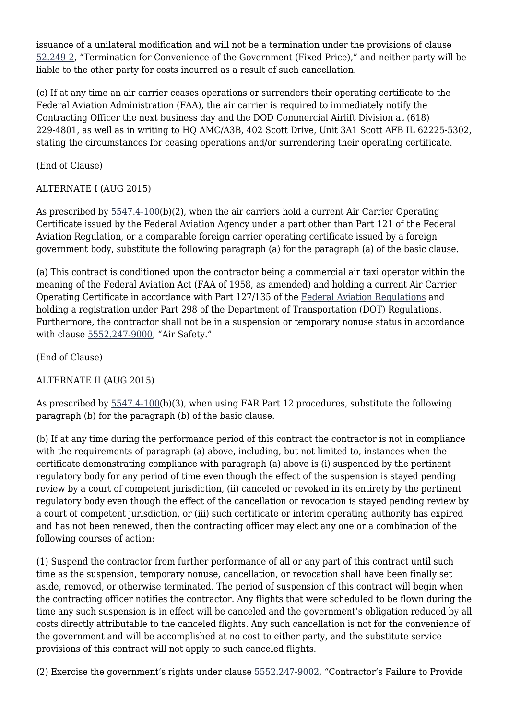issuance of a unilateral modification and will not be a termination under the provisions of clause [52.249-2,](https://www.acquisition.gov/%5Brp:link:far_dita-part-52%5D#P1672_242547) "Termination for Convenience of the Government (Fixed-Price)," and neither party will be liable to the other party for costs incurred as a result of such cancellation.

(c) If at any time an air carrier ceases operations or surrenders their operating certificate to the Federal Aviation Administration (FAA), the air carrier is required to immediately notify the Contracting Officer the next business day and the DOD Commercial Airlift Division at (618) 229-4801, as well as in writing to HQ AMC/A3B, 402 Scott Drive, Unit 3A1 Scott AFB IL 62225-5302, stating the circumstances for ceasing operations and/or surrendering their operating certificate.

(End of Clause)

# ALTERNATE I (AUG 2015)

As prescribed by  $5547.4-100(b)(2)$ , when the air carriers hold a current Air Carrier Operating Certificate issued by the Federal Aviation Agency under a part other than Part 121 of the Federal Aviation Regulation, or a comparable foreign carrier operating certificate issued by a foreign government body, substitute the following paragraph (a) for the paragraph (a) of the basic clause.

(a) This contract is conditioned upon the contractor being a commercial air taxi operator within the meaning of the Federal Aviation Act (FAA of 1958, as amended) and holding a current Air Carrier Operating Certificate in accordance with Part 127/135 of the [Federal Aviation Regulations](http://www.airweb.faa.gov/Regulatory_and_Guidance_Library/rgFAR.nsf/MainFrame?OpenFrameSet) and holding a registration under Part 298 of the Department of Transportation (DOT) Regulations. Furthermore, the contractor shall not be in a suspension or temporary nonuse status in accordance with clause [5552.247-9000](http://farsite.hill.af.mil/reghtml/regs/other/USTRANSCOM/5552.htm#P59_10341), "Air Safety."

(End of Clause)

# ALTERNATE II (AUG 2015)

As prescribed by  $5547.4-100(b)(3)$ , when using FAR Part 12 procedures, substitute the following paragraph (b) for the paragraph (b) of the basic clause.

(b) If at any time during the performance period of this contract the contractor is not in compliance with the requirements of paragraph (a) above, including, but not limited to, instances when the certificate demonstrating compliance with paragraph (a) above is (i) suspended by the pertinent regulatory body for any period of time even though the effect of the suspension is stayed pending review by a court of competent jurisdiction, (ii) canceled or revoked in its entirety by the pertinent regulatory body even though the effect of the cancellation or revocation is stayed pending review by a court of competent jurisdiction, or (iii) such certificate or interim operating authority has expired and has not been renewed, then the contracting officer may elect any one or a combination of the following courses of action:

(1) Suspend the contractor from further performance of all or any part of this contract until such time as the suspension, temporary nonuse, cancellation, or revocation shall have been finally set aside, removed, or otherwise terminated. The period of suspension of this contract will begin when the contracting officer notifies the contractor. Any flights that were scheduled to be flown during the time any such suspension is in effect will be canceled and the government's obligation reduced by all costs directly attributable to the canceled flights. Any such cancellation is not for the convenience of the government and will be accomplished at no cost to either party, and the substitute service provisions of this contract will not apply to such canceled flights.

(2) Exercise the government's rights under clause [5552.247-9002](http://farsite.hill.af.mil/reghtml/regs/other/USTRANSCOM/5552.htm#P92_21257), "Contractor's Failure to Provide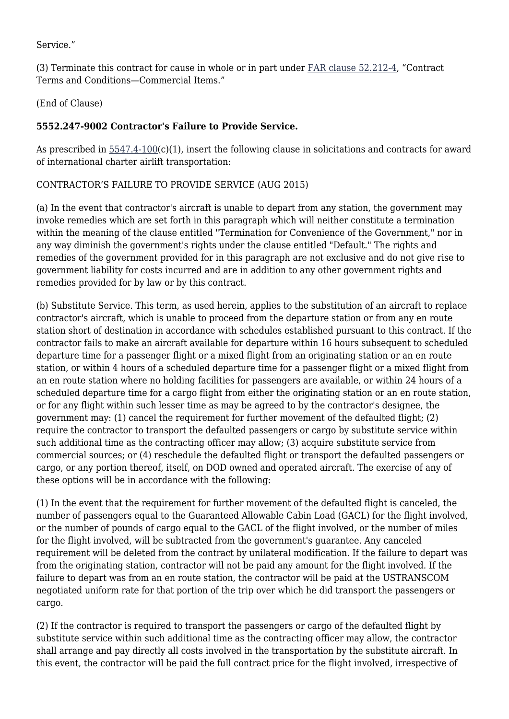Service."

(3) Terminate this contract for cause in whole or in part under [FAR clause 52.212-4,](https://www.acquisition.gov/%5Brp:link:far_dita-part-52%5D#P1373_187972) "Contract Terms and Conditions—Commercial Items."

(End of Clause)

# **5552.247-9002 Contractor's Failure to Provide Service.**

As prescribed in  $5547.4-100(c)(1)$  $5547.4-100(c)(1)$ , insert the following clause in solicitations and contracts for award of international charter airlift transportation:

# CONTRACTOR'S FAILURE TO PROVIDE SERVICE (AUG 2015)

(a) In the event that contractor's aircraft is unable to depart from any station, the government may invoke remedies which are set forth in this paragraph which will neither constitute a termination within the meaning of the clause entitled "Termination for Convenience of the Government," nor in any way diminish the government's rights under the clause entitled "Default." The rights and remedies of the government provided for in this paragraph are not exclusive and do not give rise to government liability for costs incurred and are in addition to any other government rights and remedies provided for by law or by this contract.

(b) Substitute Service. This term, as used herein, applies to the substitution of an aircraft to replace contractor's aircraft, which is unable to proceed from the departure station or from any en route station short of destination in accordance with schedules established pursuant to this contract. If the contractor fails to make an aircraft available for departure within 16 hours subsequent to scheduled departure time for a passenger flight or a mixed flight from an originating station or an en route station, or within 4 hours of a scheduled departure time for a passenger flight or a mixed flight from an en route station where no holding facilities for passengers are available, or within 24 hours of a scheduled departure time for a cargo flight from either the originating station or an en route station, or for any flight within such lesser time as may be agreed to by the contractor's designee, the government may: (1) cancel the requirement for further movement of the defaulted flight; (2) require the contractor to transport the defaulted passengers or cargo by substitute service within such additional time as the contracting officer may allow; (3) acquire substitute service from commercial sources; or (4) reschedule the defaulted flight or transport the defaulted passengers or cargo, or any portion thereof, itself, on DOD owned and operated aircraft. The exercise of any of these options will be in accordance with the following:

(1) In the event that the requirement for further movement of the defaulted flight is canceled, the number of passengers equal to the Guaranteed Allowable Cabin Load (GACL) for the flight involved, or the number of pounds of cargo equal to the GACL of the flight involved, or the number of miles for the flight involved, will be subtracted from the government's guarantee. Any canceled requirement will be deleted from the contract by unilateral modification. If the failure to depart was from the originating station, contractor will not be paid any amount for the flight involved. If the failure to depart was from an en route station, the contractor will be paid at the USTRANSCOM negotiated uniform rate for that portion of the trip over which he did transport the passengers or cargo.

(2) If the contractor is required to transport the passengers or cargo of the defaulted flight by substitute service within such additional time as the contracting officer may allow, the contractor shall arrange and pay directly all costs involved in the transportation by the substitute aircraft. In this event, the contractor will be paid the full contract price for the flight involved, irrespective of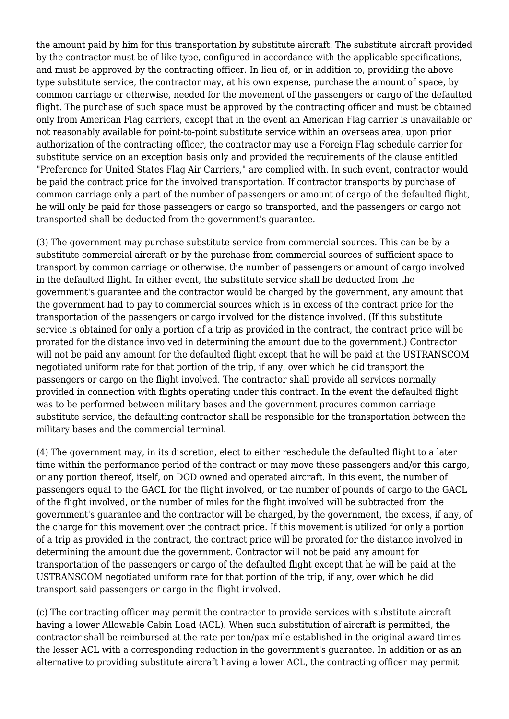the amount paid by him for this transportation by substitute aircraft. The substitute aircraft provided by the contractor must be of like type, configured in accordance with the applicable specifications, and must be approved by the contracting officer. In lieu of, or in addition to, providing the above type substitute service, the contractor may, at his own expense, purchase the amount of space, by common carriage or otherwise, needed for the movement of the passengers or cargo of the defaulted flight. The purchase of such space must be approved by the contracting officer and must be obtained only from American Flag carriers, except that in the event an American Flag carrier is unavailable or not reasonably available for point-to-point substitute service within an overseas area, upon prior authorization of the contracting officer, the contractor may use a Foreign Flag schedule carrier for substitute service on an exception basis only and provided the requirements of the clause entitled "Preference for United States Flag Air Carriers," are complied with. In such event, contractor would be paid the contract price for the involved transportation. If contractor transports by purchase of common carriage only a part of the number of passengers or amount of cargo of the defaulted flight, he will only be paid for those passengers or cargo so transported, and the passengers or cargo not transported shall be deducted from the government's guarantee.

(3) The government may purchase substitute service from commercial sources. This can be by a substitute commercial aircraft or by the purchase from commercial sources of sufficient space to transport by common carriage or otherwise, the number of passengers or amount of cargo involved in the defaulted flight. In either event, the substitute service shall be deducted from the government's guarantee and the contractor would be charged by the government, any amount that the government had to pay to commercial sources which is in excess of the contract price for the transportation of the passengers or cargo involved for the distance involved. (If this substitute service is obtained for only a portion of a trip as provided in the contract, the contract price will be prorated for the distance involved in determining the amount due to the government.) Contractor will not be paid any amount for the defaulted flight except that he will be paid at the USTRANSCOM negotiated uniform rate for that portion of the trip, if any, over which he did transport the passengers or cargo on the flight involved. The contractor shall provide all services normally provided in connection with flights operating under this contract. In the event the defaulted flight was to be performed between military bases and the government procures common carriage substitute service, the defaulting contractor shall be responsible for the transportation between the military bases and the commercial terminal.

(4) The government may, in its discretion, elect to either reschedule the defaulted flight to a later time within the performance period of the contract or may move these passengers and/or this cargo, or any portion thereof, itself, on DOD owned and operated aircraft. In this event, the number of passengers equal to the GACL for the flight involved, or the number of pounds of cargo to the GACL of the flight involved, or the number of miles for the flight involved will be subtracted from the government's guarantee and the contractor will be charged, by the government, the excess, if any, of the charge for this movement over the contract price. If this movement is utilized for only a portion of a trip as provided in the contract, the contract price will be prorated for the distance involved in determining the amount due the government. Contractor will not be paid any amount for transportation of the passengers or cargo of the defaulted flight except that he will be paid at the USTRANSCOM negotiated uniform rate for that portion of the trip, if any, over which he did transport said passengers or cargo in the flight involved.

(c) The contracting officer may permit the contractor to provide services with substitute aircraft having a lower Allowable Cabin Load (ACL). When such substitution of aircraft is permitted, the contractor shall be reimbursed at the rate per ton/pax mile established in the original award times the lesser ACL with a corresponding reduction in the government's guarantee. In addition or as an alternative to providing substitute aircraft having a lower ACL, the contracting officer may permit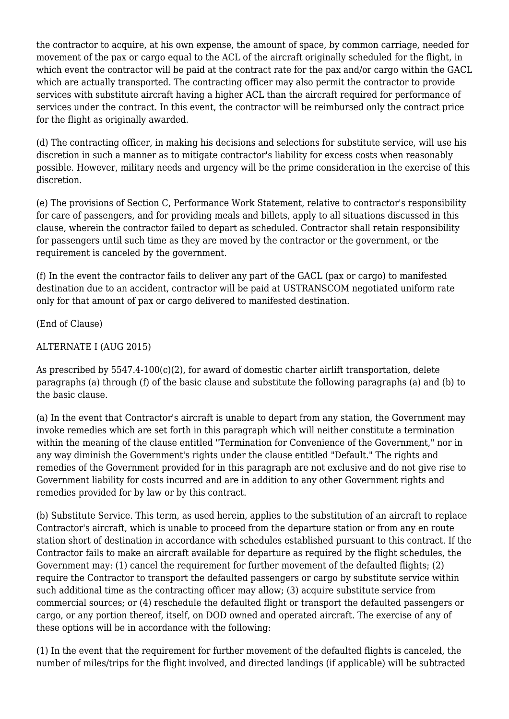the contractor to acquire, at his own expense, the amount of space, by common carriage, needed for movement of the pax or cargo equal to the ACL of the aircraft originally scheduled for the flight, in which event the contractor will be paid at the contract rate for the pax and/or cargo within the GACL which are actually transported. The contracting officer may also permit the contractor to provide services with substitute aircraft having a higher ACL than the aircraft required for performance of services under the contract. In this event, the contractor will be reimbursed only the contract price for the flight as originally awarded.

(d) The contracting officer, in making his decisions and selections for substitute service, will use his discretion in such a manner as to mitigate contractor's liability for excess costs when reasonably possible. However, military needs and urgency will be the prime consideration in the exercise of this discretion.

(e) The provisions of Section C, Performance Work Statement, relative to contractor's responsibility for care of passengers, and for providing meals and billets, apply to all situations discussed in this clause, wherein the contractor failed to depart as scheduled. Contractor shall retain responsibility for passengers until such time as they are moved by the contractor or the government, or the requirement is canceled by the government.

(f) In the event the contractor fails to deliver any part of the GACL (pax or cargo) to manifested destination due to an accident, contractor will be paid at USTRANSCOM negotiated uniform rate only for that amount of pax or cargo delivered to manifested destination.

(End of Clause)

### ALTERNATE I (AUG 2015)

As prescribed by 5547.4-100(c)(2), for award of domestic charter airlift transportation, delete paragraphs (a) through (f) of the basic clause and substitute the following paragraphs (a) and (b) to the basic clause.

(a) In the event that Contractor's aircraft is unable to depart from any station, the Government may invoke remedies which are set forth in this paragraph which will neither constitute a termination within the meaning of the clause entitled "Termination for Convenience of the Government," nor in any way diminish the Government's rights under the clause entitled "Default." The rights and remedies of the Government provided for in this paragraph are not exclusive and do not give rise to Government liability for costs incurred and are in addition to any other Government rights and remedies provided for by law or by this contract.

(b) Substitute Service. This term, as used herein, applies to the substitution of an aircraft to replace Contractor's aircraft, which is unable to proceed from the departure station or from any en route station short of destination in accordance with schedules established pursuant to this contract. If the Contractor fails to make an aircraft available for departure as required by the flight schedules, the Government may: (1) cancel the requirement for further movement of the defaulted flights; (2) require the Contractor to transport the defaulted passengers or cargo by substitute service within such additional time as the contracting officer may allow; (3) acquire substitute service from commercial sources; or (4) reschedule the defaulted flight or transport the defaulted passengers or cargo, or any portion thereof, itself, on DOD owned and operated aircraft. The exercise of any of these options will be in accordance with the following:

(1) In the event that the requirement for further movement of the defaulted flights is canceled, the number of miles/trips for the flight involved, and directed landings (if applicable) will be subtracted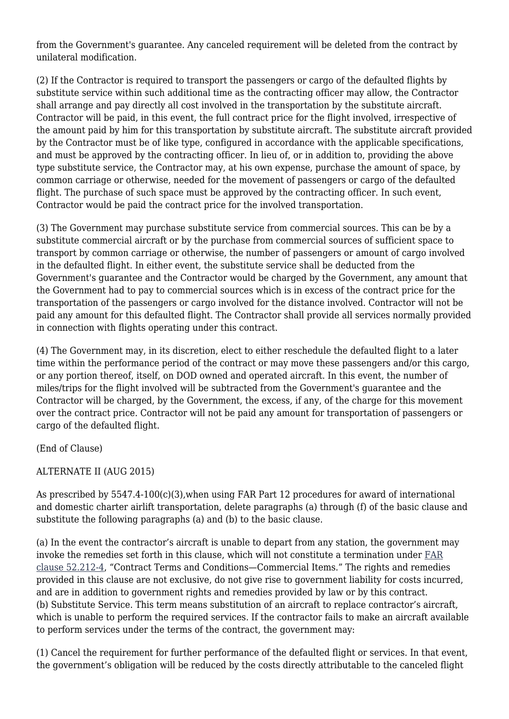from the Government's guarantee. Any canceled requirement will be deleted from the contract by unilateral modification.

(2) If the Contractor is required to transport the passengers or cargo of the defaulted flights by substitute service within such additional time as the contracting officer may allow, the Contractor shall arrange and pay directly all cost involved in the transportation by the substitute aircraft. Contractor will be paid, in this event, the full contract price for the flight involved, irrespective of the amount paid by him for this transportation by substitute aircraft. The substitute aircraft provided by the Contractor must be of like type, configured in accordance with the applicable specifications, and must be approved by the contracting officer. In lieu of, or in addition to, providing the above type substitute service, the Contractor may, at his own expense, purchase the amount of space, by common carriage or otherwise, needed for the movement of passengers or cargo of the defaulted flight. The purchase of such space must be approved by the contracting officer. In such event, Contractor would be paid the contract price for the involved transportation.

(3) The Government may purchase substitute service from commercial sources. This can be by a substitute commercial aircraft or by the purchase from commercial sources of sufficient space to transport by common carriage or otherwise, the number of passengers or amount of cargo involved in the defaulted flight. In either event, the substitute service shall be deducted from the Government's guarantee and the Contractor would be charged by the Government, any amount that the Government had to pay to commercial sources which is in excess of the contract price for the transportation of the passengers or cargo involved for the distance involved. Contractor will not be paid any amount for this defaulted flight. The Contractor shall provide all services normally provided in connection with flights operating under this contract.

(4) The Government may, in its discretion, elect to either reschedule the defaulted flight to a later time within the performance period of the contract or may move these passengers and/or this cargo, or any portion thereof, itself, on DOD owned and operated aircraft. In this event, the number of miles/trips for the flight involved will be subtracted from the Government's guarantee and the Contractor will be charged, by the Government, the excess, if any, of the charge for this movement over the contract price. Contractor will not be paid any amount for transportation of passengers or cargo of the defaulted flight.

(End of Clause)

# ALTERNATE II (AUG 2015)

As prescribed by 5547.4-100(c)(3),when using FAR Part 12 procedures for award of international and domestic charter airlift transportation, delete paragraphs (a) through (f) of the basic clause and substitute the following paragraphs (a) and (b) to the basic clause.

(a) In the event the contractor's aircraft is unable to depart from any station, the government may invoke the remedies set forth in this clause, which will not constitute a termination under [FAR](https://www.acquisition.gov/%5Brp:link:far_dita-part-52%5D#P1261_172134) [clause 52.212-4,](https://www.acquisition.gov/%5Brp:link:far_dita-part-52%5D#P1261_172134) "Contract Terms and Conditions—Commercial Items." The rights and remedies provided in this clause are not exclusive, do not give rise to government liability for costs incurred, and are in addition to government rights and remedies provided by law or by this contract. (b) Substitute Service. This term means substitution of an aircraft to replace contractor's aircraft, which is unable to perform the required services. If the contractor fails to make an aircraft available to perform services under the terms of the contract, the government may:

(1) Cancel the requirement for further performance of the defaulted flight or services. In that event, the government's obligation will be reduced by the costs directly attributable to the canceled flight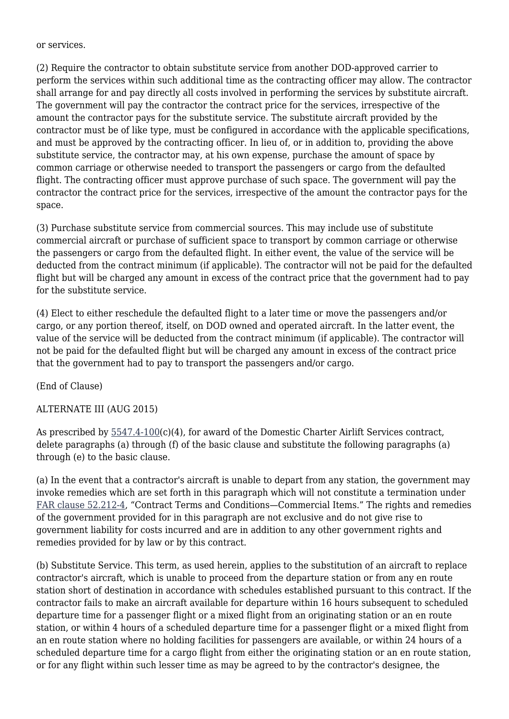or services.

(2) Require the contractor to obtain substitute service from another DOD-approved carrier to perform the services within such additional time as the contracting officer may allow. The contractor shall arrange for and pay directly all costs involved in performing the services by substitute aircraft. The government will pay the contractor the contract price for the services, irrespective of the amount the contractor pays for the substitute service. The substitute aircraft provided by the contractor must be of like type, must be configured in accordance with the applicable specifications, and must be approved by the contracting officer. In lieu of, or in addition to, providing the above substitute service, the contractor may, at his own expense, purchase the amount of space by common carriage or otherwise needed to transport the passengers or cargo from the defaulted flight. The contracting officer must approve purchase of such space. The government will pay the contractor the contract price for the services, irrespective of the amount the contractor pays for the space.

(3) Purchase substitute service from commercial sources. This may include use of substitute commercial aircraft or purchase of sufficient space to transport by common carriage or otherwise the passengers or cargo from the defaulted flight. In either event, the value of the service will be deducted from the contract minimum (if applicable). The contractor will not be paid for the defaulted flight but will be charged any amount in excess of the contract price that the government had to pay for the substitute service.

(4) Elect to either reschedule the defaulted flight to a later time or move the passengers and/or cargo, or any portion thereof, itself, on DOD owned and operated aircraft. In the latter event, the value of the service will be deducted from the contract minimum (if applicable). The contractor will not be paid for the defaulted flight but will be charged any amount in excess of the contract price that the government had to pay to transport the passengers and/or cargo.

(End of Clause)

#### ALTERNATE III (AUG 2015)

As prescribed by  $5547.4-100(c)(4)$ , for award of the Domestic Charter Airlift Services contract, delete paragraphs (a) through (f) of the basic clause and substitute the following paragraphs (a) through (e) to the basic clause.

(a) In the event that a contractor's aircraft is unable to depart from any station, the government may invoke remedies which are set forth in this paragraph which will not constitute a termination under [FAR clause 52.212-4](https://www.acquisition.gov/%5Brp:link:far_dita-part-52%5D#P1261_172134), "Contract Terms and Conditions—Commercial Items." The rights and remedies of the government provided for in this paragraph are not exclusive and do not give rise to government liability for costs incurred and are in addition to any other government rights and remedies provided for by law or by this contract.

(b) Substitute Service. This term, as used herein, applies to the substitution of an aircraft to replace contractor's aircraft, which is unable to proceed from the departure station or from any en route station short of destination in accordance with schedules established pursuant to this contract. If the contractor fails to make an aircraft available for departure within 16 hours subsequent to scheduled departure time for a passenger flight or a mixed flight from an originating station or an en route station, or within 4 hours of a scheduled departure time for a passenger flight or a mixed flight from an en route station where no holding facilities for passengers are available, or within 24 hours of a scheduled departure time for a cargo flight from either the originating station or an en route station, or for any flight within such lesser time as may be agreed to by the contractor's designee, the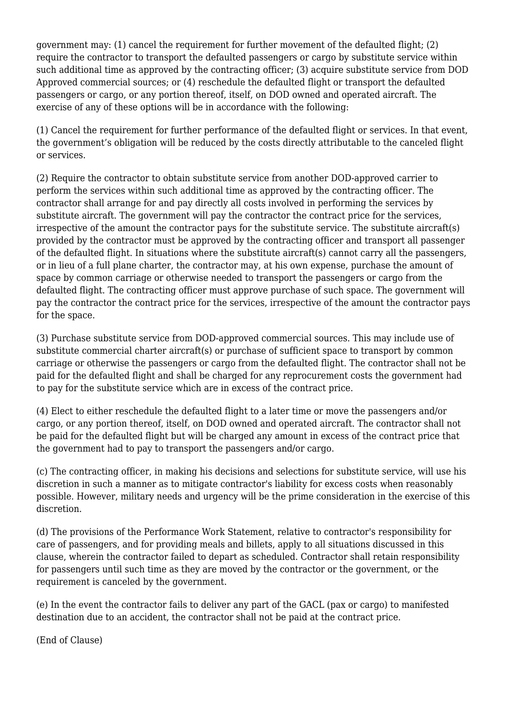government may: (1) cancel the requirement for further movement of the defaulted flight; (2) require the contractor to transport the defaulted passengers or cargo by substitute service within such additional time as approved by the contracting officer; (3) acquire substitute service from DOD Approved commercial sources; or (4) reschedule the defaulted flight or transport the defaulted passengers or cargo, or any portion thereof, itself, on DOD owned and operated aircraft. The exercise of any of these options will be in accordance with the following:

(1) Cancel the requirement for further performance of the defaulted flight or services. In that event, the government's obligation will be reduced by the costs directly attributable to the canceled flight or services.

(2) Require the contractor to obtain substitute service from another DOD-approved carrier to perform the services within such additional time as approved by the contracting officer. The contractor shall arrange for and pay directly all costs involved in performing the services by substitute aircraft. The government will pay the contractor the contract price for the services, irrespective of the amount the contractor pays for the substitute service. The substitute aircraft(s) provided by the contractor must be approved by the contracting officer and transport all passenger of the defaulted flight. In situations where the substitute aircraft(s) cannot carry all the passengers, or in lieu of a full plane charter, the contractor may, at his own expense, purchase the amount of space by common carriage or otherwise needed to transport the passengers or cargo from the defaulted flight. The contracting officer must approve purchase of such space. The government will pay the contractor the contract price for the services, irrespective of the amount the contractor pays for the space.

(3) Purchase substitute service from DOD-approved commercial sources. This may include use of substitute commercial charter aircraft(s) or purchase of sufficient space to transport by common carriage or otherwise the passengers or cargo from the defaulted flight. The contractor shall not be paid for the defaulted flight and shall be charged for any reprocurement costs the government had to pay for the substitute service which are in excess of the contract price.

(4) Elect to either reschedule the defaulted flight to a later time or move the passengers and/or cargo, or any portion thereof, itself, on DOD owned and operated aircraft. The contractor shall not be paid for the defaulted flight but will be charged any amount in excess of the contract price that the government had to pay to transport the passengers and/or cargo.

(c) The contracting officer, in making his decisions and selections for substitute service, will use his discretion in such a manner as to mitigate contractor's liability for excess costs when reasonably possible. However, military needs and urgency will be the prime consideration in the exercise of this discretion.

(d) The provisions of the Performance Work Statement, relative to contractor's responsibility for care of passengers, and for providing meals and billets, apply to all situations discussed in this clause, wherein the contractor failed to depart as scheduled. Contractor shall retain responsibility for passengers until such time as they are moved by the contractor or the government, or the requirement is canceled by the government.

(e) In the event the contractor fails to deliver any part of the GACL (pax or cargo) to manifested destination due to an accident, the contractor shall not be paid at the contract price.

(End of Clause)